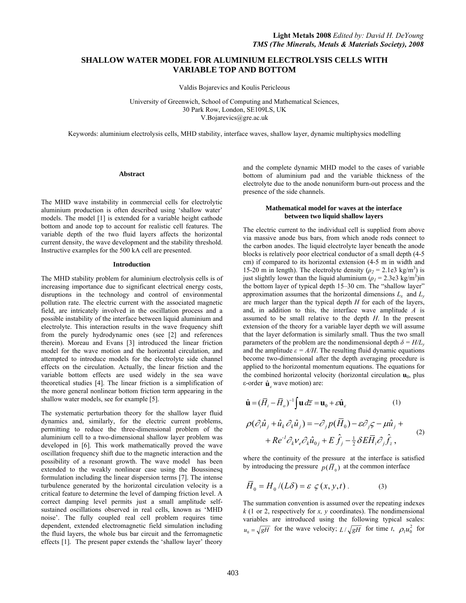# **SHALLOW WATER MODEL FOR ALUMINIUM ELECTROLYSIS CELLS WITH VARIABLE TOP AND BOTTOM**

Valdis Bojarevics and Koulis Pericleous

University of Greenwich, School of Computing and Mathematical Sciences, 30 Park Row, London, SE109LS, UK V.Bojarevics@gre.ac.uk

Keywords: aluminium electrolysis cells, MHD stability, interface waves, shallow layer, dynamic multiphysics modelling

# **Abstract**

The MHD wave instability in commercial cells for electrolytic aluminium production is often described using 'shallow water' models. The model [1] is extended for a variable height cathode bottom and anode top to account for realistic cell features. The variable depth of the two fluid layers affects the horizontal current density, the wave development and the stability threshold. Instructive examples for the 500 kA cell are presented.

#### **Introduction**

The MHD stability problem for aluminium electrolysis cells is of increasing importance due to significant electrical energy costs, disruptions in the technology and control of environmental pollution rate. The electric current with the associated magnetic field, are intricately involved in the oscillation process and a possible instability of the interface between liquid aluminium and electrolyte. This interaction results in the wave frequency shift from the purely hydrodynamic ones (see [2] and references therein). Moreau and Evans [3] introduced the linear friction model for the wave motion and the horizontal circulation, and attempted to introduce models for the electrolyte side channel effects on the circulation. Actually, the linear friction and the variable bottom effects are used widely in the sea wave theoretical studies [4]. The linear friction is a simplification of the more general nonlinear bottom friction term appearing in the shallow water models, see for example [5].

The systematic perturbation theory for the shallow layer fluid dynamics and, similarly, for the electric current problems, permitting to reduce the three-dimensional problem of the aluminium cell to a two-dimensional shallow layer problem was developed in [6]. This work mathematically proved the wave oscillation frequency shift due to the magnetic interaction and the possibility of a resonant growth. The wave model has been extended to the weakly nonlinear case using the Boussinesq formulation including the linear dispersion terms [7]. The intense turbulence generated by the horizontal circulation velocity is a critical feature to determine the level of damping friction level. A correct damping level permits just a small amplitude selfsustained oscillations observed in real cells, known as 'MHD noise'. The fully coupled real cell problem requires time dependent, extended electromagnetic field simulation including the fluid layers, the whole bus bar circuit and the ferromagnetic effects [1]. The present paper extends the 'shallow layer' theory

and the complete dynamic MHD model to the cases of variable bottom of aluminium pad and the variable thickness of the electrolyte due to the anode nonuniform burn-out process and the presence of the side channels.

# **Mathematical model for waves at the interface between two liquid shallow layers**

The electric current to the individual cell is supplied from above via massive anode bus bars, from which anode rods connect to the carbon anodes. The liquid electrolyte layer beneath the anode blocks is relatively poor electrical conductor of a small depth (4-5 cm) if compared to its horizontal extension (4-5 m in width and 15-20 m in length). The electrolyte density  $(\rho_2 = 2.1e3 \text{ kg/m}^3)$  is just slightly lower than the liquid aluminium  $(\rho_1 = 2.3e3 \text{ kg/m}^3)$ in the bottom layer of typical depth 15–30 cm. The "shallow layer" approximation assumes that the horizontal dimensions  $L_x$  and  $L_y$ are much larger than the typical depth *H* for each of the layers, and, in addition to this, the interface wave amplitude *A* is assumed to be small relative to the depth *H*. In the present extension of the theory for a variable layer depth we will assume that the layer deformation is similarly small. Thus the two small parameters of the problem are the nondimensional depth  $\delta = H/L_v$ and the amplitude  $\varepsilon = A/H$ . The resulting fluid dynamic equations become two-dimensional after the depth averaging procedure is applied to the horizontal momentum equations. The equations for the combined horizontal velocity (horizontal circulation  $\mathbf{u}_0$ , plus ε-order  $\hat{\mathbf{u}}$ <sub>ε</sub> wave motion) are:

$$
\hat{\mathbf{u}} = (\bar{H}_i - \bar{H}_o)^{-1} \int \mathbf{u} \, d\bar{z} = \mathbf{u}_0 + \varepsilon \hat{\mathbf{u}}_s \qquad (1)
$$
\n
$$
\rho(\partial_i \hat{u}_j + \hat{u}_k \partial_k \hat{u}_j) = -\partial_j p(\bar{H}_0) - \varepsilon \partial_j \zeta - \mu \hat{u}_j +
$$
\n
$$
+ Re^{-1} \partial_k v_e \partial_k \hat{u}_{0j} + E \hat{f}_j - \frac{1}{2} \delta E \bar{H}_i \partial_j \hat{f}_z \,, \qquad (2)
$$

where the continuity of the pressure at the interface is satisfied by introducing the pressure  $p(\overline{H}_0)$  at the common interface

$$
\overline{H}_0 = H_0 / (L\delta) = \varepsilon \varsigma(x, y, t) \,. \tag{3}
$$

The summation convention is assumed over the repeating indexes *k* (1 or 2, respectively for *x, y* coordinates). The nondimensional variables are introduced using the following typical scales:  $u_0 = \sqrt{gH}$  for the wave velocity;  $L/\sqrt{gH}$  for time *t*,  $\rho_1 u_0^2$  for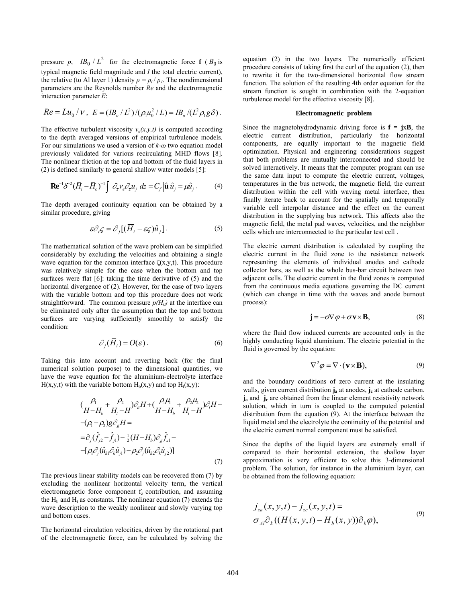pressure *p*,  $IB_0 / L^2$  for the electromagnetic force **f** ( $B_0$  is typical magnetic field magnitude and *I* the total electric current), the relative (to Al layer 1) density  $\rho = \rho_i / \rho_i$ . The nondimensional parameters are the Reynolds number *Re* and the electromagnetic interaction parameter *E*:

$$
Re = Lu_0 / V
$$
,  $E = (IB_0 / L^2) / (\rho_1 u_0^2 / L) = IB_0 / (L^2 \rho_1 g \delta)$ .

The effective turbulent viscosity  $v_e(x, y, t)$  is computed according to the depth averaged versions of empirical turbulence models. For our simulations we used a version of *k-ω* two equation model previously validated for various recirculating MHD flows [8]. The nonlinear friction at the top and bottom of the fluid layers in (2) is defined similarly to general shallow water models [5]:

$$
\mathbf{R} \mathbf{e}^{-1} \delta^{-2} (\overline{H}_i - \overline{H}_o)^{-1} \int \mathcal{O}_{\overline{z}} \nu_e \mathcal{O}_{\overline{z}} u_j \ d\overline{z} = C_f \left| \hat{\mathbf{u}} \right| \hat{u}_j = \mu \hat{u}_j. \tag{4}
$$

The depth averaged continuity equation can be obtained by a similar procedure, giving

$$
\varepsilon \partial_i \zeta = \partial_j [(\overline{H}_i - \varepsilon \zeta) \hat{u}_j]. \tag{5}
$$

The mathematical solution of the wave problem can be simplified considerably by excluding the velocities and obtaining a single wave equation for the common interface  $\zeta(x,y,t)$ . This procedure was relatively simple for the case when the bottom and top surfaces were flat [6]: taking the time derivative of (5) and the horizontal divergence of (2). However, for the case of two layers with the variable bottom and top this procedure does not work straightforward. The common pressure  $p(H_0)$  at the interface can be eliminated only after the assumption that the top and bottom surfaces are varying sufficiently smoothly to satisfy the condition:

$$
\partial_j(\bar{H}_i) = O(\varepsilon).
$$
 (6)

Taking this into account and reverting back (for the final numerical solution purpose) to the dimensional quantities, we have the wave equation for the aluminium-electrolyte interface  $H(x,y,t)$  with the variable bottom  $H_b(x,y)$  and top  $H_t(x,y)$ :

$$
\left(\frac{\rho_1}{H-H_b} + \frac{\rho_2}{H_t-H}\right)\partial_\mu H + \left(\frac{\rho_1\mu_1}{H-H_b} + \frac{\rho_2\mu_2}{H_t-H}\right)\partial_\tau H -
$$
  
\n
$$
-(\rho_1 - \rho_2)g\partial_\mu H =
$$
  
\n
$$
= \partial_j(\hat{f}_{j2} - \hat{f}_{j1}) - \frac{1}{2}(H - H_b)\partial_\mu \hat{f}_{z1} -
$$
  
\n
$$
-[\rho_1 \partial_j(\hat{u}_{k1} \partial_k \hat{u}_{j1}) - \rho_2 \partial_j(\hat{u}_{k2} \partial_k \hat{u}_{j2})]
$$
\n(7)

The previous linear stability models can be recovered from (7) by excluding the nonlinear horizontal velocity term, the vertical electromagnetic force component  $f<sub>z</sub>$  contribution, and assuming the  $H<sub>b</sub>$  and  $H<sub>t</sub>$  as constants. The nonlinear equation (7) extends the wave description to the weakly nonlinear and slowly varying top and bottom cases.

The horizontal circulation velocities, driven by the rotational part of the electromagnetic force, can be calculated by solving the equation (2) in the two layers. The numerically efficient procedure consists of taking first the curl of the equation (2), then to rewrite it for the two-dimensional horizontal flow stream function. The solution of the resulting 4th order equation for the stream function is sought in combination with the 2-equation turbulence model for the effective viscosity [8].

### **Electromagnetic problem**

Since the magnetohydrodynamic driving force is  $f = jxB$ , the electric current distribution, particularly the horizontal components, are equally important to the magnetic field optimization. Physical and engineering considerations suggest that both problems are mutually interconnected and should be solved interactively. It means that the computer program can use the same data input to compute the electric current, voltages, temperatures in the bus network, the magnetic field, the current distribution within the cell with waving metal interface, then finally iterate back to account for the spatially and temporally variable cell interpolar distance and the effect on the current distribution in the supplying bus network. This affects also the magnetic field, the metal pad waves, velocities, and the neighbor cells which are interconnected to the particular test cell .

The electric current distribution is calculated by coupling the electric current in the fluid zone to the resistance network representing the elements of individual anodes and cathode collector bars, as well as the whole bus-bar circuit between two adjacent cells. The electric current in the fluid zones is computed from the continuous media equations governing the DC current (which can change in time with the waves and anode burnout process):

$$
\mathbf{j} = -\sigma \nabla \varphi + \sigma \mathbf{v} \times \mathbf{B},\tag{8}
$$

where the fluid flow induced currents are accounted only in the highly conducting liquid aluminium. The electric potential in the fluid is governed by the equation:

$$
\nabla^2 \varphi = \nabla \cdot (\mathbf{v} \times \mathbf{B}),\tag{9}
$$

and the boundary conditions of zero current at the insulating walls, given current distribution **j**<sub>a</sub> at anodes, **j**<sub>c</sub> at cathode carbon. **j**<sub>a</sub> and **j**<sub>c</sub> are obtained from the linear element resistivity network solution, which in turn is coupled to the computed potential distribution from the equation (9). At the interface between the liquid metal and the electrolyte the continuity of the potential and the electric current normal component must be satisfied.

Since the depths of the liquid layers are extremely small if compared to their horizontal extension, the shallow layer approximation is very efficient to solve this 3-dimensional problem. The solution, for instance in the aluminium layer, can be obtained from the following equation:

$$
j_{za}(x, y, t) - j_{zc}(x, y, t) =
$$
  
\n
$$
\sigma_{Al}\partial_k((H(x, y, t) - H_b(x, y))\partial_k\varphi),
$$
\n(9)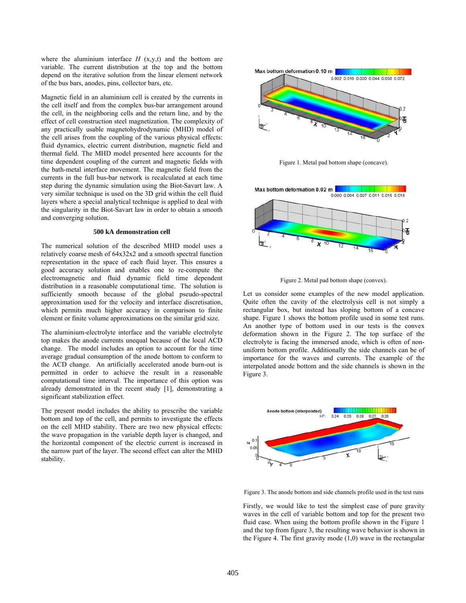where the aluminium interface  $H$  (x,y,t) and the bottom are variable. The current distribution at the top and the bottom depend on the iterative solution from the linear element network of the bus bars, anodes, pins, collector bars, etc.

Magnetic field in an aluminium cell is created by the currents in the cell itself and from the complex bus-bar arrangement around the cell, in the neighboring cells and the return line, and by the effect of cell construction steel magnetization. The complexity of any practically usable magnetohydrodynamic (MHD) model of the cell arises from the coupling of the various physical effects: fluid dynamics, electric current distribution, magnetic field and thermal field. The MHD model presented here accounts for the time dependent coupling of the current and magnetic fields with the bath-metal interface movement. The magnetic field from the currents in the full bus-bar network is recalculated at each time step during the dynamic simulation using the Biot-Savart law. A very similar technique is used on the 3D grid within the cell fluid layers where a special analytical technique is applied to deal with the singularity in the Biot-Savart law in order to obtain a smooth and converging solution.

# **500 kA demonstration cell**

The numerical solution of the described MHD model uses a relatively coarse mesh of 64x32x2 and a smooth spectral function representation in the space of each fluid layer. This ensures a good accuracy solution and enables one to re-compute the electromagnetic and fluid dynamic field time dependent distribution in a reasonable computational time. The solution is sufficiently smooth because of the global pseudo-spectral approximation used for the velocity and interface discretisation, which permits much higher accuracy in comparison to finite element or finite volume approximations on the similar grid size.

The aluminium-electrolyte interface and the variable electrolyte top makes the anode currents unequal because of the local ACD change. The model includes an option to account for the time average gradual consumption of the anode bottom to conform to the ACD change. An artificially accelerated anode burn-out is permitted in order to achieve the result in a reasonable computational time interval. The importance of this option was already demonstrated in the recent study [1], demonstrating a significant stabilization effect.

The present model includes the ability to prescribe the variable bottom and top of the cell, and permits to investigate the effects on the cell MHD stability. There are two new physical effects: the wave propagation in the variable depth layer is changed, and the horizontal component of the electric current is increased in the narrow part of the layer. The second effect can alter the MHD stability.



Figure 1. Metal pad bottom shape (concave).



Figure 2. Metal pad bottom shape (convex).

Let us consider some examples of the new model application. Quite often the cavity of the electrolysis cell is not simply a rectangular box, but instead has sloping bottom of a concave shape. Figure 1 shows the bottom profile used in some test runs. An another type of bottom used in our tests is the convex deformation shown in the Figure 2. The top surface of the electrolyte is facing the immersed anode, which is often of nonuniform bottom profile. Additionally the side channels can be of importance for the waves and currents. The example of the interpolated anode bottom and the side channels is shown in the Figure 3.



Figure 3. The anode bottom and side channels profile used in the test runs

Firstly, we would like to test the simplest case of pure gravity waves in the cell of variable bottom and top for the present two fluid case. When using the bottom profile shown in the Figure 1 and the top from figure 3, the resulting wave behavior is shown in the Figure 4. The first gravity mode (1,0) wave in the rectangular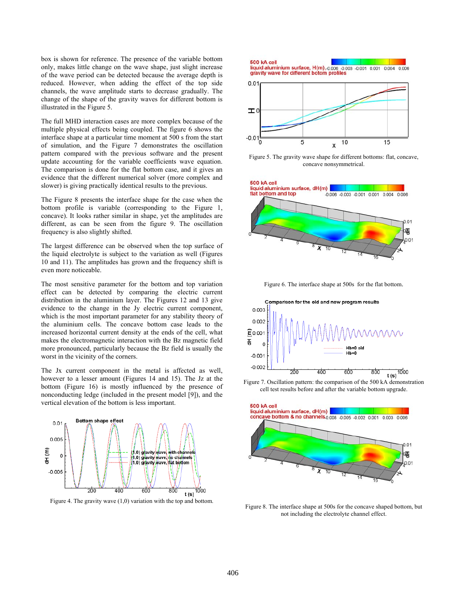box is shown for reference. The presence of the variable bottom only, makes little change on the wave shape, just slight increase of the wave period can be detected because the average depth is reduced. However, when adding the effect of the top side channels, the wave amplitude starts to decrease gradually. The change of the shape of the gravity waves for different bottom is illustrated in the Figure 5.

The full MHD interaction cases are more complex because of the multiple physical effects being coupled. The figure 6 shows the interface shape at a particular time moment at 500 s from the start of simulation, and the Figure 7 demonstrates the oscillation pattern compared with the previous software and the present update accounting for the variable coefficients wave equation. The comparison is done for the flat bottom case, and it gives an evidence that the different numerical solver (more complex and slower) is giving practically identical results to the previous.

The Figure 8 presents the interface shape for the case when the bottom profile is variable (corresponding to the Figure 1, concave). It looks rather similar in shape, yet the amplitudes are different, as can be seen from the figure 9. The oscillation frequency is also slightly shifted.

The largest difference can be observed when the top surface of the liquid electrolyte is subject to the variation as well (Figures 10 and 11). The amplitudes has grown and the frequency shift is even more noticeable.

The most sensitive parameter for the bottom and top variation effect can be detected by comparing the electric current distribution in the aluminium layer. The Figures 12 and 13 give evidence to the change in the Jy electric current component, which is the most important parameter for any stability theory of the aluminium cells. The concave bottom case leads to the increased horizontal current density at the ends of the cell, what makes the electromagnetic interaction with the Bz magnetic field more pronounced, particularly because the Bz field is usually the worst in the vicinity of the corners.

The Jx current component in the metal is affected as well, however to a lesser amount (Figures 14 and 15). The Jz at the bottom (Figure 16) is mostly influenced by the presence of nonconducting ledge (included in the present model [9]), and the vertical elevation of the bottom is less important.



Figure 4. The gravity wave (1,0) variation with the top and bottom.

Suv KA Cell<br>
gravity wave for different botom profiles<br>
gravity wave for different botom profiles  $0.01$ H,

**500 kA cell** 



Figure 5. The gravity wave shape for different bottoms: flat, concave, concave nonsymmetrical.



Figure 6. The interface shape at 500s for the flat bottom.



Figure 7. Oscillation pattern: the comparison of the 500 kA demonstration cell test results before and after the variable bottom upgrade.



Figure 8. The interface shape at 500s for the concave shaped bottom, but not including the electrolyte channel effect.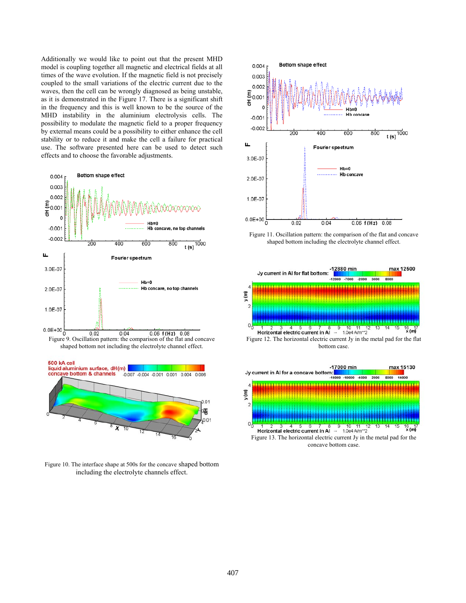Additionally we would like to point out that the present MHD model is coupling together all magnetic and electrical fields at all times of the wave evolution. If the magnetic field is not precisely coupled to the small variations of the electric current due to the waves, then the cell can be wrongly diagnosed as being unstable, as it is demonstrated in the Figure 17. There is a significant shift in the frequency and this is well known to be the source of the MHD instability in the aluminium electrolysis cells. The possibility to modulate the magnetic field to a proper frequency by external means could be a possibility to either enhance the cell stability or to reduce it and make the cell a failure for practical use. The software presented here can be used to detect such effects and to choose the favorable adjustments.



shaped bottom not including the electrolyte channel effect.



Figure 10. The interface shape at 500s for the concave shaped bottom including the electrolyte channels effect.



Figure 11. Oscillation pattern: the comparison of the flat and concave shaped bottom including the electrolyte channel effect.